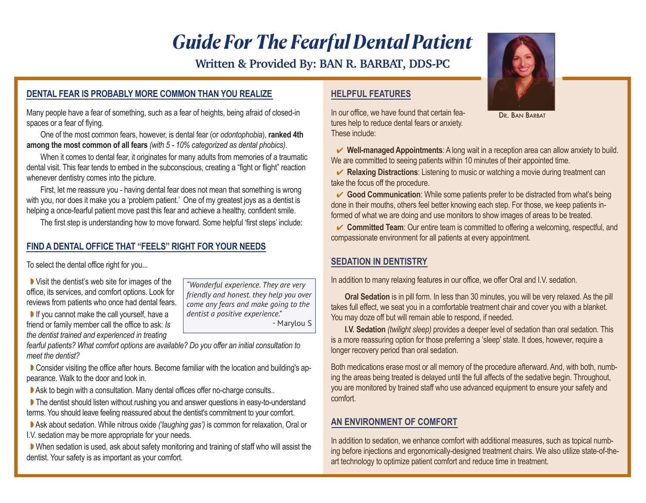# *Guide For The Fearful Dental Patient*

**Written & Provided By: BAN R. BARBAT, DDS-PC**

#### **DENTAL FEAR IS PROBABLY MORE COMMON THAN YOU REALIZE**

Many people have a fear of something, such as a fear of heights, being afraid of closed-in spaces or a fear of flying.

 One of the most common fears, however, is dental fear (or *odontophobia*), **ranked 4th among the most common of all fears** *(with 5 - 10% categorized as dental phobics)*.

 When it comes to dental fear, it originates for many adults from memories of a traumatic dental visit. This fear tends to embed in the subconscious, creating a "fight or flight" reaction whenever dentistry comes into the picture.

 First, let me reassure you - having dental fear does not mean that something is wrong with you, nor does it make you a 'problem patient.' One of my greatest joys as a dentist is helping a once-fearful patient move past this fear and achieve a healthy, confident smile.

The first step is understanding how to move forward. Some helpful 'first steps' include:

#### **FIND A DENTAL OFFICE THAT "FEELS" RIGHT FOR YOUR NEEDS**

To select the dental office right for you...

 $\triangleright$  Visit the dentist's web site for images of the office, its services, and comfort options. Look for reviews from patients who once had dental fears.

 $\blacktriangleright$  If you cannot make the call yourself, have a friend or family member call the office to ask: *Is the dentist trained and experienced in treating*

*"Wonderful experience. They are very friendly and honest. they help you over come any fears and make going to the dentist a positive experience."* 

- Marylou S

*fearful patients? What comfort options are available? Do you offer an initial consultation to meet the dentist?* 

**Consider visiting the office after hours. Become familiar with the location and building's ap**pearance. Walk to the door and look in.

Ask to begin with a consultation. Many dental offices offer no-charge consults..

The dentist should listen without rushing you and answer questions in easy-to-understand terms. You should leave feeling reassured about the dentist's commitment to your comfort.

Ask about sedation. While nitrous oxide *('laughing gas')* is common for relaxation, Oral or I.V. sedation may be more appropriate for your needs.

When sedation is used, ask about safety monitoring and training of staff who will assist the dentist. Your safety is as important as your comfort.

#### **HELPFUL FEATURES**

In our office, we have found that certain features help to reduce dental fears or anxiety. These include:

 4 **Well-managed Appointments**: A long wait in a reception area can allow anxiety to build. We are committed to seeing patients within 10 minutes of their appointed time.

**► Relaxing Distractions**: Listening to music or watching a movie during treatment can take the focus off the procedure.

**■ Good Communication**: While some patients prefer to be distracted from what's being done in their mouths, others feel better knowing each step. For those, we keep patients informed of what we are doing and use monitors to show images of areas to be treated.

**► Committed Team**: Our entire team is committed to offering a welcoming, respectful, and compassionate environment for all patients at every appointment.

## **SEDATION IN DENTISTRY**

In addition to many relaxing features in our office, we offer Oral and I.V. sedation.

 **Oral Sedation** is in pill form. In less than 30 minutes, you will be very relaxed. As the pill takes full effect, we seat you in a comfortable treatment chair and cover you with a blanket. You may doze off but will remain able to respond, if needed.

 **I.V. Sedation** *(twilight sleep)* provides a deeper level of sedation than oral sedation. This is a more reassuring option for those preferring a 'sleep' state. It does, however, require a longer recovery period than oral sedation.

Both medications erase most or all memory of the procedure afterward. And, with both, numbing the areas being treated is delayed until the full affects of the sedative begin. Throughout, you are monitored by trained staff who use advanced equipment to ensure your safety and comfort.

#### **AN ENVIRONMENT OF COMFORT**

In addition to sedation, we enhance comfort with additional measures, such as topical numbing before injections and ergonomically-designed treatment chairs. We also utilize state-of-theart technology to optimize patient comfort and reduce time in treatment.



DR. BAN BARBAT